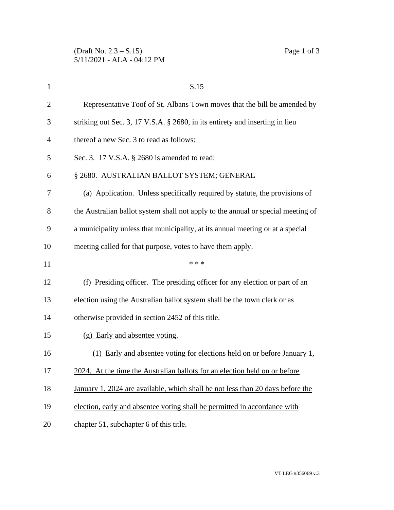| $\mathbf{1}$   | S.15                                                                             |
|----------------|----------------------------------------------------------------------------------|
| $\overline{2}$ | Representative Toof of St. Albans Town moves that the bill be amended by         |
| 3              | striking out Sec. 3, 17 V.S.A. § 2680, in its entirety and inserting in lieu     |
| $\overline{4}$ | thereof a new Sec. 3 to read as follows:                                         |
| 5              | Sec. 3. 17 V.S.A. § 2680 is amended to read:                                     |
| 6              | § 2680. AUSTRALIAN BALLOT SYSTEM; GENERAL                                        |
| 7              | (a) Application. Unless specifically required by statute, the provisions of      |
| 8              | the Australian ballot system shall not apply to the annual or special meeting of |
| 9              | a municipality unless that municipality, at its annual meeting or at a special   |
| 10             | meeting called for that purpose, votes to have them apply.                       |
| 11             | * * *                                                                            |
|                |                                                                                  |
| 12             | (f) Presiding officer. The presiding officer for any election or part of an      |
| 13             | election using the Australian ballot system shall be the town clerk or as        |
| 14             | otherwise provided in section 2452 of this title.                                |
| 15             | (g) Early and absentee voting.                                                   |
| 16             | (1) Early and absentee voting for elections held on or before January 1,         |
|                | 2024. At the time the Australian ballots for an election held on or before       |
| 17<br>18       | January 1, 2024 are available, which shall be not less than 20 days before the   |
| 19             | election, early and absentee voting shall be permitted in accordance with        |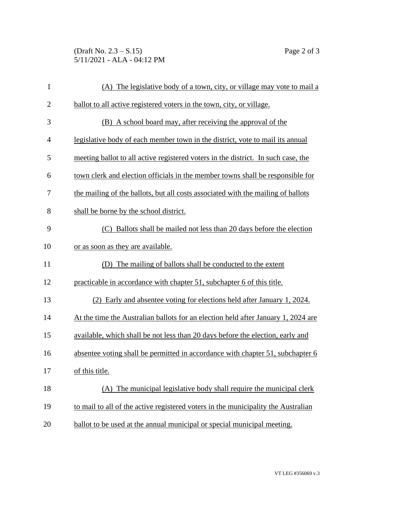(Draft No. 2.3 – S.15) Page 2 of 3 5/11/2021 - ALA - 04:12 PM

| $\mathbf{1}$   | (A) The legislative body of a town, city, or village may vote to mail a           |
|----------------|-----------------------------------------------------------------------------------|
| $\overline{2}$ | ballot to all active registered voters in the town, city, or village.             |
| 3              | (B) A school board may, after receiving the approval of the                       |
| $\overline{4}$ | legislative body of each member town in the district, vote to mail its annual     |
| 5              | meeting ballot to all active registered voters in the district. In such case, the |
| 6              | town clerk and election officials in the member towns shall be responsible for    |
| 7              | the mailing of the ballots, but all costs associated with the mailing of ballots  |
| 8              | shall be borne by the school district.                                            |
| 9              | (C) Ballots shall be mailed not less than 20 days before the election             |
| 10             | or as soon as they are available.                                                 |
| 11             | The mailing of ballots shall be conducted to the extent<br>(D)                    |
| 12             | practicable in accordance with chapter 51, subchapter 6 of this title.            |
| 13             | (2) Early and absentee voting for elections held after January 1, 2024.           |
| 14             | At the time the Australian ballots for an election held after January 1, 2024 are |
| 15             | available, which shall be not less than 20 days before the election, early and    |
| 16             | absentee voting shall be permitted in accordance with chapter 51, subchapter 6    |
| 17             | of this title.                                                                    |
| 18             | The municipal legislative body shall require the municipal clerk<br>(A)           |
| 19             | to mail to all of the active registered voters in the municipality the Australian |
| 20             | ballot to be used at the annual municipal or special municipal meeting.           |